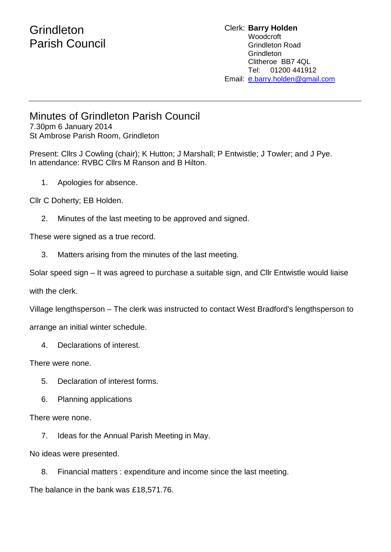## **Grindleton** Parish Council

#### Clerk: **Barry Holden** Woodcroft Grindleton Road **Grindleton** Clitheroe BB7 4QL Tel: 01200 441912 Email: [e.](mailto:edwardbholden@yahoo.co.uk)barry.holden@gmail.com

### Minutes of Grindleton Parish Council

7.30pm 6 January 2014 St Ambrose Parish Room, Grindleton

Present: Cllrs J Cowling (chair); K Hutton; J Marshall; P Entwistle; J Towler; and J Pye. In attendance: RVBC Cllrs M Ranson and B Hilton.

1. Apologies for absence.

Cllr C Doherty; EB Holden.

2. Minutes of the last meeting to be approved and signed.

These were signed as a true record.

3. Matters arising from the minutes of the last meeting.

Solar speed sign – It was agreed to purchase a suitable sign, and Cllr Entwistle would liaise

with the clerk.

Village lengthsperson – The clerk was instructed to contact West Bradford's lengthsperson to

arrange an initial winter schedule.

4. Declarations of interest.

There were none.

- 5. Declaration of interest forms.
- 6. Planning applications

There were none.

7. Ideas for the Annual Parish Meeting in May.

No ideas were presented.

8. Financial matters : expenditure and income since the last meeting.

The balance in the bank was £18,571.76.